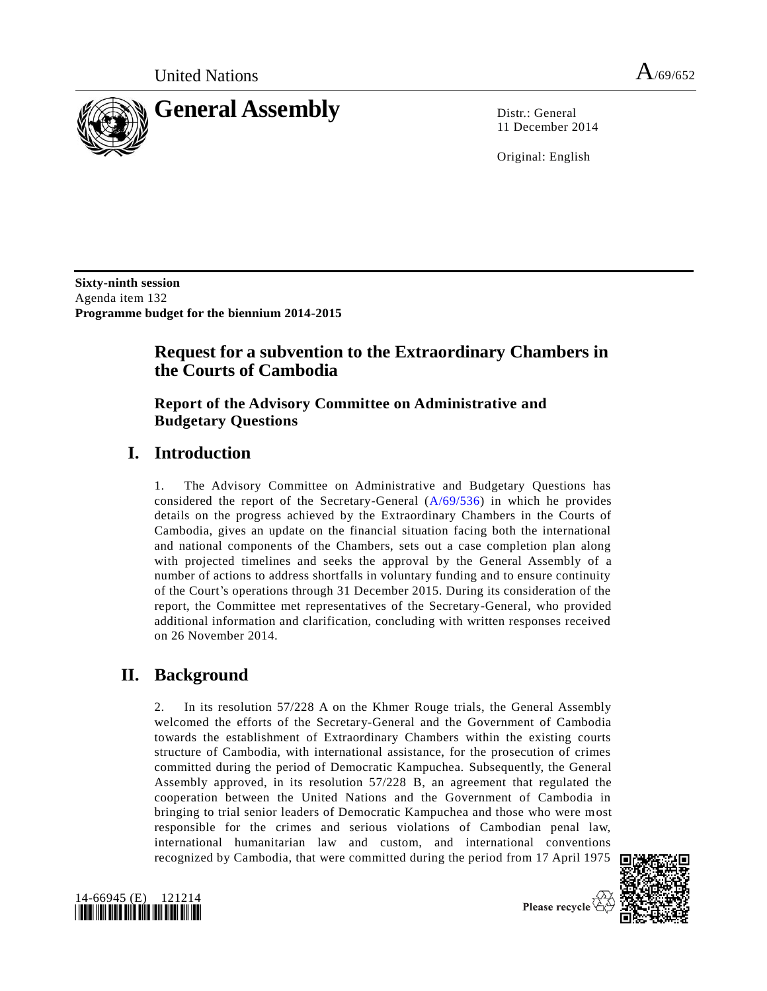

11 December 2014

Original: English

**Sixty-ninth session** Agenda item 132 **Programme budget for the biennium 2014-2015**

# **Request for a subvention to the Extraordinary Chambers in the Courts of Cambodia**

### **Report of the Advisory Committee on Administrative and Budgetary Questions**

# **I. Introduction**

1. The Advisory Committee on Administrative and Budgetary Questions has considered the report of the Secretary-General [\(A/69/536\)](http://undocs.org/A/69/536) in which he provides details on the progress achieved by the Extraordinary Chambers in the Courts of Cambodia, gives an update on the financial situation facing both the international and national components of the Chambers, sets out a case completion plan along with projected timelines and seeks the approval by the General Assembly of a number of actions to address shortfalls in voluntary funding and to ensure continuity of the Court's operations through 31 December 2015. During its consideration of the report, the Committee met representatives of the Secretary-General, who provided additional information and clarification, concluding with written responses received on 26 November 2014.

# **II. Background**

2. In its resolution 57/228 A on the Khmer Rouge trials, the General Assembly welcomed the efforts of the Secretary-General and the Government of Cambodia towards the establishment of Extraordinary Chambers within the existing courts structure of Cambodia, with international assistance, for the prosecution of crimes committed during the period of Democratic Kampuchea. Subsequently, the General Assembly approved, in its resolution 57/228 B, an agreement that regulated the cooperation between the United Nations and the Government of Cambodia in bringing to trial senior leaders of Democratic Kampuchea and those who were most responsible for the crimes and serious violations of Cambodian penal law, international humanitarian law and custom, and international conventions recognized by Cambodia, that were committed during the period from 17 April 1975



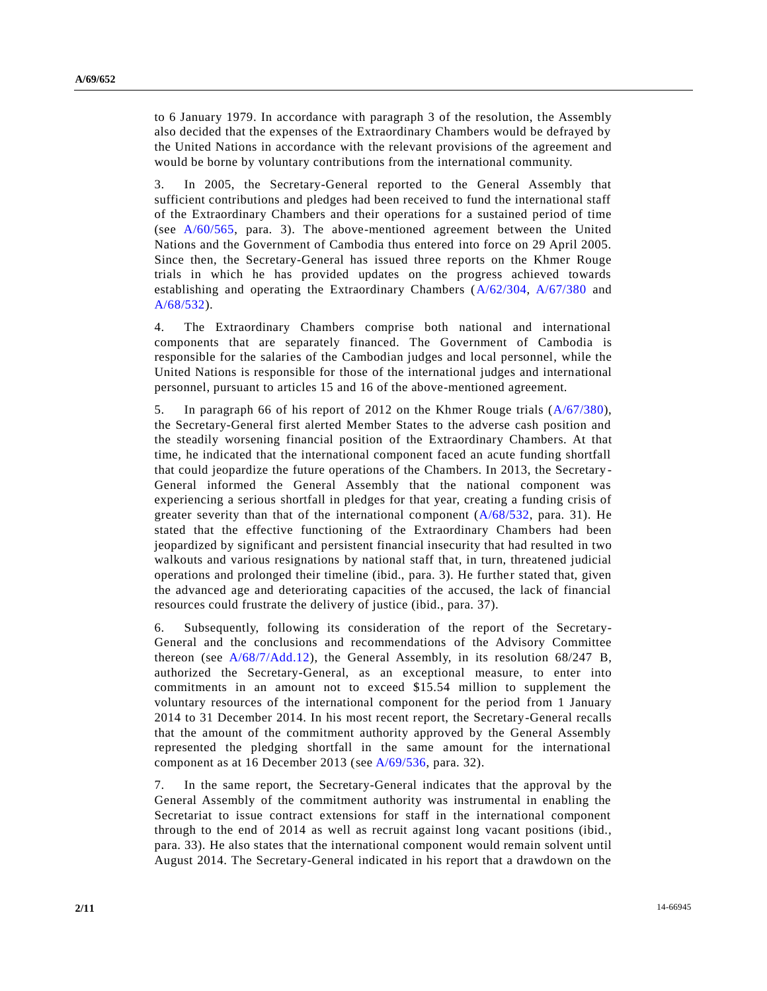to 6 January 1979. In accordance with paragraph 3 of the resolution, the Assembly also decided that the expenses of the Extraordinary Chambers would be defrayed by the United Nations in accordance with the relevant provisions of the agreement and would be borne by voluntary contributions from the international community.

3. In 2005, the Secretary-General reported to the General Assembly that sufficient contributions and pledges had been received to fund the international staff of the Extraordinary Chambers and their operations for a sustained period of time (see [A/60/565,](http://undocs.org/A/60/565) para. 3). The above-mentioned agreement between the United Nations and the Government of Cambodia thus entered into force on 29 April 2005. Since then, the Secretary-General has issued three reports on the Khmer Rouge trials in which he has provided updates on the progress achieved towards establishing and operating the Extraordinary Chambers [\(A/62/304,](http://undocs.org/A/62/304) [A/67/380](http://undocs.org/A/67/380) and [A/68/532\)](http://undocs.org/A/68/532).

4. The Extraordinary Chambers comprise both national and international components that are separately financed. The Government of Cambodia is responsible for the salaries of the Cambodian judges and local personnel, while the United Nations is responsible for those of the international judges and international personnel, pursuant to articles 15 and 16 of the above-mentioned agreement.

5. In paragraph 66 of his report of 2012 on the Khmer Rouge trials [\(A/67/380\)](http://undocs.org/A/67/380), the Secretary-General first alerted Member States to the adverse cash position and the steadily worsening financial position of the Extraordinary Chambers. At that time, he indicated that the international component faced an acute funding shortfall that could jeopardize the future operations of the Chambers. In 2013, the Secretary - General informed the General Assembly that the national component was experiencing a serious shortfall in pledges for that year, creating a funding crisis of greater severity than that of the international component  $(A/68/532, \text{ para. } 31)$  $(A/68/532, \text{ para. } 31)$ . He stated that the effective functioning of the Extraordinary Chambers had been jeopardized by significant and persistent financial insecurity that had resulted in two walkouts and various resignations by national staff that, in turn, threatened judicial operations and prolonged their timeline (ibid., para. 3). He further stated that, given the advanced age and deteriorating capacities of the accused, the lack of financial resources could frustrate the delivery of justice (ibid., para. 37).

6. Subsequently, following its consideration of the report of the Secretary-General and the conclusions and recommendations of the Advisory Committee thereon (see  $A/68/7/Add.12$ ), the General Assembly, in its resolution  $68/247$  B, authorized the Secretary-General, as an exceptional measure, to enter into commitments in an amount not to exceed \$15.54 million to supplement the voluntary resources of the international component for the period from 1 January 2014 to 31 December 2014. In his most recent report, the Secretary-General recalls that the amount of the commitment authority approved by the General Assembly represented the pledging shortfall in the same amount for the international component as at 16 December 2013 (see [A/69/536,](http://undocs.org/A/69/536) para. 32).

7. In the same report, the Secretary-General indicates that the approval by the General Assembly of the commitment authority was instrumental in enabling the Secretariat to issue contract extensions for staff in the international component through to the end of 2014 as well as recruit against long vacant positions (ibid., para. 33). He also states that the international component would remain solvent until August 2014. The Secretary-General indicated in his report that a drawdown on the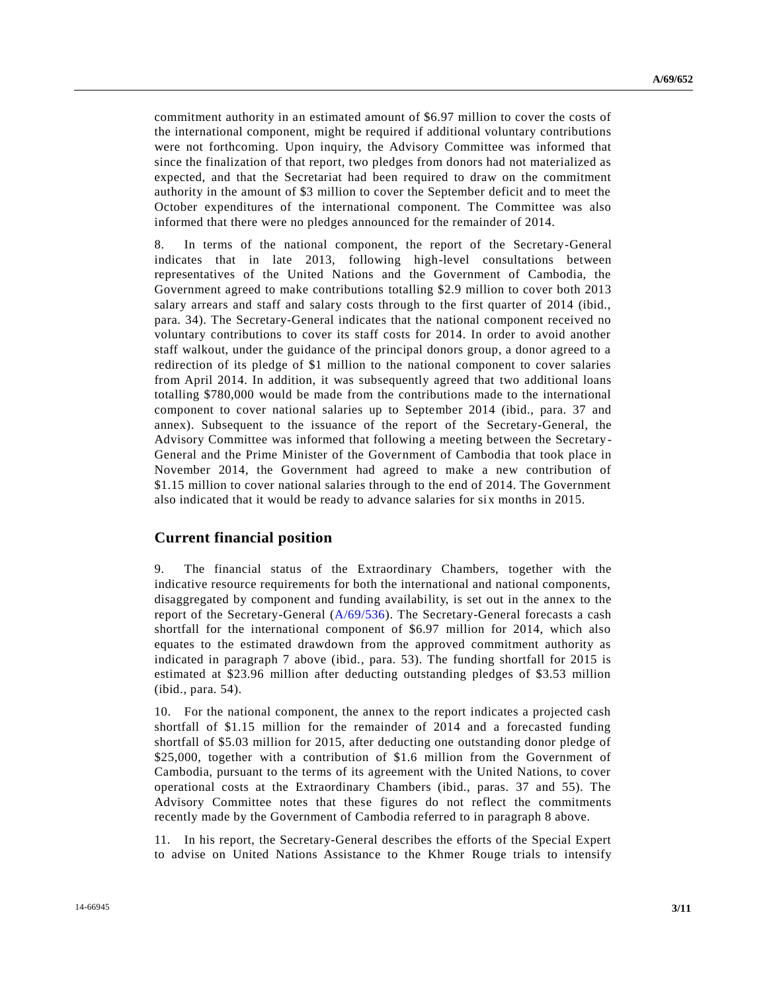commitment authority in an estimated amount of \$6.97 million to cover the costs of the international component, might be required if additional voluntary contributions were not forthcoming. Upon inquiry, the Advisory Committee was informed that since the finalization of that report, two pledges from donors had not materialized as expected, and that the Secretariat had been required to draw on the commitment authority in the amount of \$3 million to cover the September deficit and to meet the October expenditures of the international component. The Committee was also informed that there were no pledges announced for the remainder of 2014.

8. In terms of the national component, the report of the Secretary-General indicates that in late 2013, following high-level consultations between representatives of the United Nations and the Government of Cambodia, the Government agreed to make contributions totalling \$2.9 million to cover both 2013 salary arrears and staff and salary costs through to the first quarter of 2014 (ibid., para. 34). The Secretary-General indicates that the national component received no voluntary contributions to cover its staff costs for 2014. In order to avoid another staff walkout, under the guidance of the principal donors group, a donor agreed to a redirection of its pledge of \$1 million to the national component to cover salaries from April 2014. In addition, it was subsequently agreed that two additional loans totalling \$780,000 would be made from the contributions made to the international component to cover national salaries up to September 2014 (ibid., para. 37 and annex). Subsequent to the issuance of the report of the Secretary-General, the Advisory Committee was informed that following a meeting between the Secretary-General and the Prime Minister of the Government of Cambodia that took place in November 2014, the Government had agreed to make a new contribution of \$1.15 million to cover national salaries through to the end of 2014. The Government also indicated that it would be ready to advance salaries for six months in 2015.

#### **Current financial position**

9. The financial status of the Extraordinary Chambers, together with the indicative resource requirements for both the international and national components, disaggregated by component and funding availability, is set out in the annex to the report of the Secretary-General [\(A/69/536\)](http://undocs.org/A/69/536). The Secretary-General forecasts a cash shortfall for the international component of \$6.97 million for 2014, which also equates to the estimated drawdown from the approved commitment authority as indicated in paragraph 7 above (ibid., para. 53). The funding shortfall for 2015 is estimated at \$23.96 million after deducting outstanding pledges of \$3.53 million (ibid., para. 54).

10. For the national component, the annex to the report indicates a projected cash shortfall of \$1.15 million for the remainder of 2014 and a forecasted funding shortfall of \$5.03 million for 2015, after deducting one outstanding donor pledge of \$25,000, together with a contribution of \$1.6 million from the Government of Cambodia, pursuant to the terms of its agreement with the United Nations, to cover operational costs at the Extraordinary Chambers (ibid., paras. 37 and 55). The Advisory Committee notes that these figures do not reflect the commitments recently made by the Government of Cambodia referred to in paragraph 8 above.

11. In his report, the Secretary-General describes the efforts of the Special Expert to advise on United Nations Assistance to the Khmer Rouge trials to intensify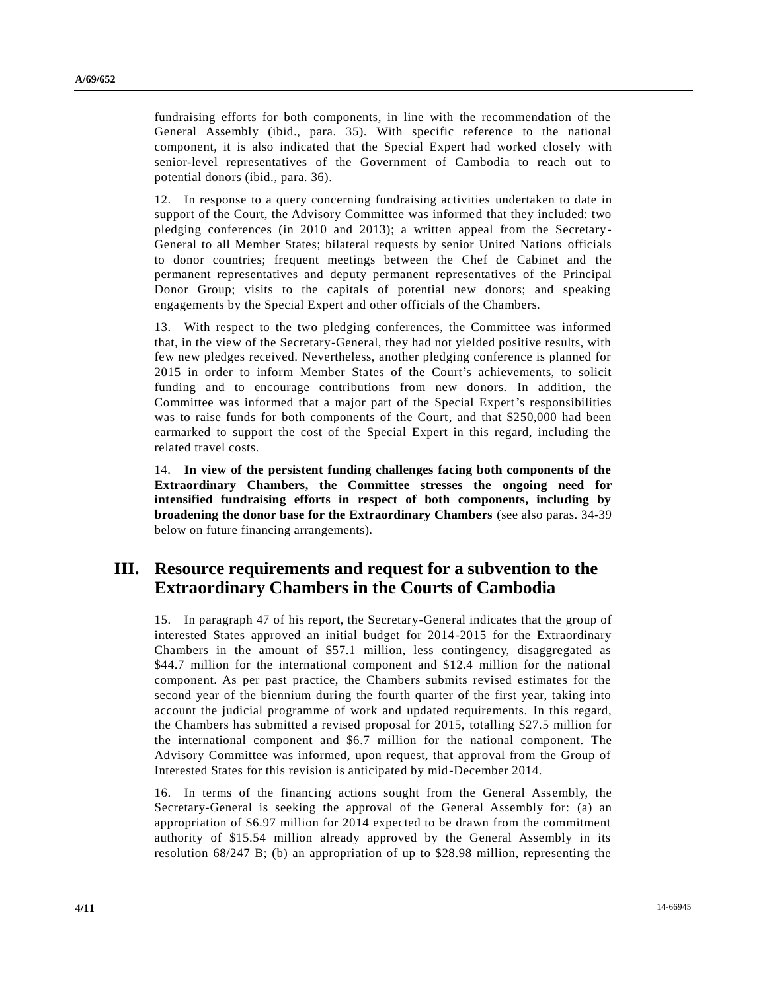fundraising efforts for both components, in line with the recommendation of the General Assembly (ibid., para. 35). With specific reference to the national component, it is also indicated that the Special Expert had worked closely with senior-level representatives of the Government of Cambodia to reach out to potential donors (ibid., para. 36).

12. In response to a query concerning fundraising activities undertaken to date in support of the Court, the Advisory Committee was informed that they included: two pledging conferences (in 2010 and 2013); a written appeal from the Secretary-General to all Member States; bilateral requests by senior United Nations officials to donor countries; frequent meetings between the Chef de Cabinet and the permanent representatives and deputy permanent representatives of the Principal Donor Group; visits to the capitals of potential new donors; and speaking engagements by the Special Expert and other officials of the Chambers.

13. With respect to the two pledging conferences, the Committee was informed that, in the view of the Secretary-General, they had not yielded positive results, with few new pledges received. Nevertheless, another pledging conference is planned for 2015 in order to inform Member States of the Court's achievements, to solicit funding and to encourage contributions from new donors. In addition, the Committee was informed that a major part of the Special Expert's responsibilities was to raise funds for both components of the Court, and that \$250,000 had been earmarked to support the cost of the Special Expert in this regard, including the related travel costs.

14. **In view of the persistent funding challenges facing both components of the Extraordinary Chambers, the Committee stresses the ongoing need for intensified fundraising efforts in respect of both components, including by broadening the donor base for the Extraordinary Chambers** (see also paras. 34-39 below on future financing arrangements).

## **III. Resource requirements and request for a subvention to the Extraordinary Chambers in the Courts of Cambodia**

15. In paragraph 47 of his report, the Secretary-General indicates that the group of interested States approved an initial budget for 2014-2015 for the Extraordinary Chambers in the amount of \$57.1 million, less contingency, disaggregated as \$44.7 million for the international component and \$12.4 million for the national component. As per past practice, the Chambers submits revised estimates for the second year of the biennium during the fourth quarter of the first year, taking into account the judicial programme of work and updated requirements. In this regard, the Chambers has submitted a revised proposal for 2015, totalling \$27.5 million for the international component and \$6.7 million for the national component. The Advisory Committee was informed, upon request, that approval from the Group of Interested States for this revision is anticipated by mid-December 2014.

16. In terms of the financing actions sought from the General Assembly, the Secretary-General is seeking the approval of the General Assembly for: (a) an appropriation of \$6.97 million for 2014 expected to be drawn from the commitment authority of \$15.54 million already approved by the General Assembly in its resolution 68/247 B; (b) an appropriation of up to \$28.98 million, representing the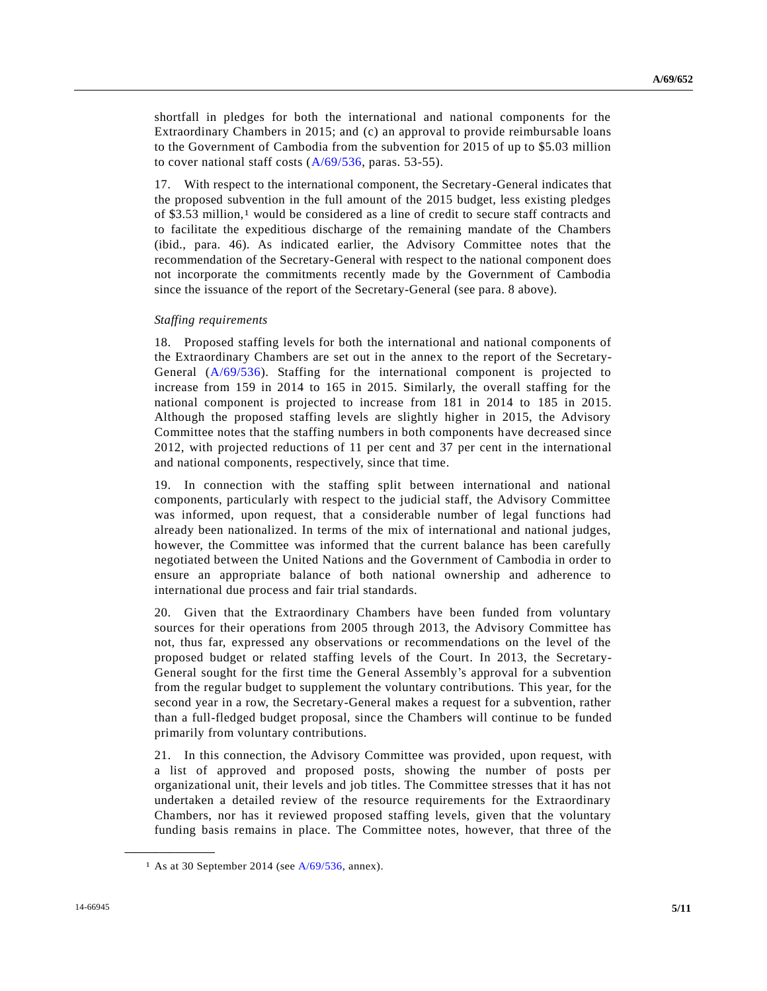shortfall in pledges for both the international and national components for the Extraordinary Chambers in 2015; and (c) an approval to provide reimbursable loans to the Government of Cambodia from the subvention for 2015 of up to \$5.03 million to cover national staff costs [\(A/69/536,](http://undocs.org/A/69/536) paras. 53-55).

17. With respect to the international component, the Secretary-General indicates that the proposed subvention in the full amount of the 2015 budget, less existing pledges of \$3.53 million,<sup>1</sup> would be considered as a line of credit to secure staff contracts and to facilitate the expeditious discharge of the remaining mandate of the Chambers (ibid., para. 46). As indicated earlier, the Advisory Committee notes that the recommendation of the Secretary-General with respect to the national component does not incorporate the commitments recently made by the Government of Cambodia since the issuance of the report of the Secretary-General (see para. 8 above).

#### *Staffing requirements*

18. Proposed staffing levels for both the international and national components of the Extraordinary Chambers are set out in the annex to the report of the Secretary-General [\(A/69/536\)](http://undocs.org/A/69/536). Staffing for the international component is projected to increase from 159 in 2014 to 165 in 2015. Similarly, the overall staffing for the national component is projected to increase from 181 in 2014 to 185 in 2015. Although the proposed staffing levels are slightly higher in 2015, the Advisory Committee notes that the staffing numbers in both components have decreased since 2012, with projected reductions of 11 per cent and 37 per cent in the international and national components, respectively, since that time.

19. In connection with the staffing split between international and national components, particularly with respect to the judicial staff, the Advisory Committee was informed, upon request, that a considerable number of legal functions had already been nationalized. In terms of the mix of international and national judges, however, the Committee was informed that the current balance has been carefully negotiated between the United Nations and the Government of Cambodia in order to ensure an appropriate balance of both national ownership and adherence to international due process and fair trial standards.

20. Given that the Extraordinary Chambers have been funded from voluntary sources for their operations from 2005 through 2013, the Advisory Committee has not, thus far, expressed any observations or recommendations on the level of the proposed budget or related staffing levels of the Court. In 2013, the Secretary-General sought for the first time the General Assembly's approval for a subvention from the regular budget to supplement the voluntary contributions. This year, for the second year in a row, the Secretary-General makes a request for a subvention, rather than a full-fledged budget proposal, since the Chambers will continue to be funded primarily from voluntary contributions.

21. In this connection, the Advisory Committee was provided, upon request, with a list of approved and proposed posts, showing the number of posts per organizational unit, their levels and job titles. The Committee stresses that it has not undertaken a detailed review of the resource requirements for the Extraordinary Chambers, nor has it reviewed proposed staffing levels, given that the voluntary funding basis remains in place. The Committee notes, however, that three of the

**\_\_\_\_\_\_\_\_\_\_\_\_\_\_\_\_\_\_**

<sup>&</sup>lt;sup>1</sup> As at 30 September 2014 (see  $A/69/536$ , annex).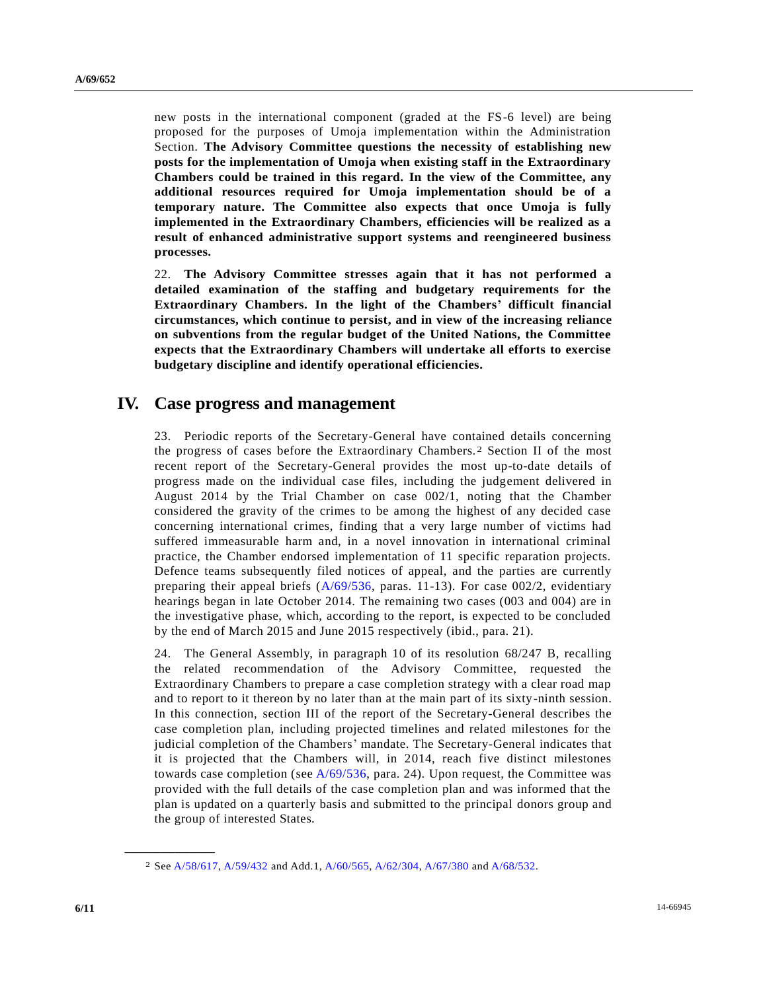new posts in the international component (graded at the FS-6 level) are being proposed for the purposes of Umoja implementation within the Administration Section. **The Advisory Committee questions the necessity of establishing new posts for the implementation of Umoja when existing staff in the Extraordinary Chambers could be trained in this regard. In the view of the Committee, any additional resources required for Umoja implementation should be of a temporary nature. The Committee also expects that once Umoja is fully implemented in the Extraordinary Chambers, efficiencies will be realized as a result of enhanced administrative support systems and reengineered business processes.**

22. **The Advisory Committee stresses again that it has not performed a detailed examination of the staffing and budgetary requirements for the Extraordinary Chambers. In the light of the Chambers' difficult financial circumstances, which continue to persist, and in view of the increasing reliance on subventions from the regular budget of the United Nations, the Committee expects that the Extraordinary Chambers will undertake all efforts to exercise budgetary discipline and identify operational efficiencies.**

### **IV. Case progress and management**

23. Periodic reports of the Secretary-General have contained details concerning the progress of cases before the Extraordinary Chambers. 2 Section II of the most recent report of the Secretary-General provides the most up-to-date details of progress made on the individual case files, including the judgement delivered in August 2014 by the Trial Chamber on case 002/1, noting that the Chamber considered the gravity of the crimes to be among the highest of any decided case concerning international crimes, finding that a very large number of victims had suffered immeasurable harm and, in a novel innovation in international criminal practice, the Chamber endorsed implementation of 11 specific reparation projects. Defence teams subsequently filed notices of appeal, and the parties are currently preparing their appeal briefs [\(A/69/536,](http://undocs.org/A/69/536) paras. 11-13). For case 002/2, evidentiary hearings began in late October 2014. The remaining two cases (003 and 004) are in the investigative phase, which, according to the report, is expected to be concluded by the end of March 2015 and June 2015 respectively (ibid., para. 21).

24. The General Assembly, in paragraph 10 of its resolution 68/247 B, recalling the related recommendation of the Advisory Committee, requested the Extraordinary Chambers to prepare a case completion strategy with a clear road map and to report to it thereon by no later than at the main part of its sixty-ninth session. In this connection, section III of the report of the Secretary-General describes the case completion plan, including projected timelines and related milestones for the judicial completion of the Chambers' mandate. The Secretary-General indicates that it is projected that the Chambers will, in 2014, reach five distinct milestones towards case completion (see  $A/69/536$ , para. 24). Upon request, the Committee was provided with the full details of the case completion plan and was informed that the plan is updated on a quarterly basis and submitted to the principal donors group and the group of interested States.

**\_\_\_\_\_\_\_\_\_\_\_\_\_\_\_\_\_\_**

<sup>2</sup> See [A/58/617,](http://undocs.org/A/58/617) [A/59/432](http://undocs.org/A/59/432) and Add.1[, A/60/565,](http://undocs.org/A/60/565) [A/62/304,](http://undocs.org/A/62/304) [A/67/380](http://undocs.org/A/67/380) and [A/68/532.](http://undocs.org/A/68/532)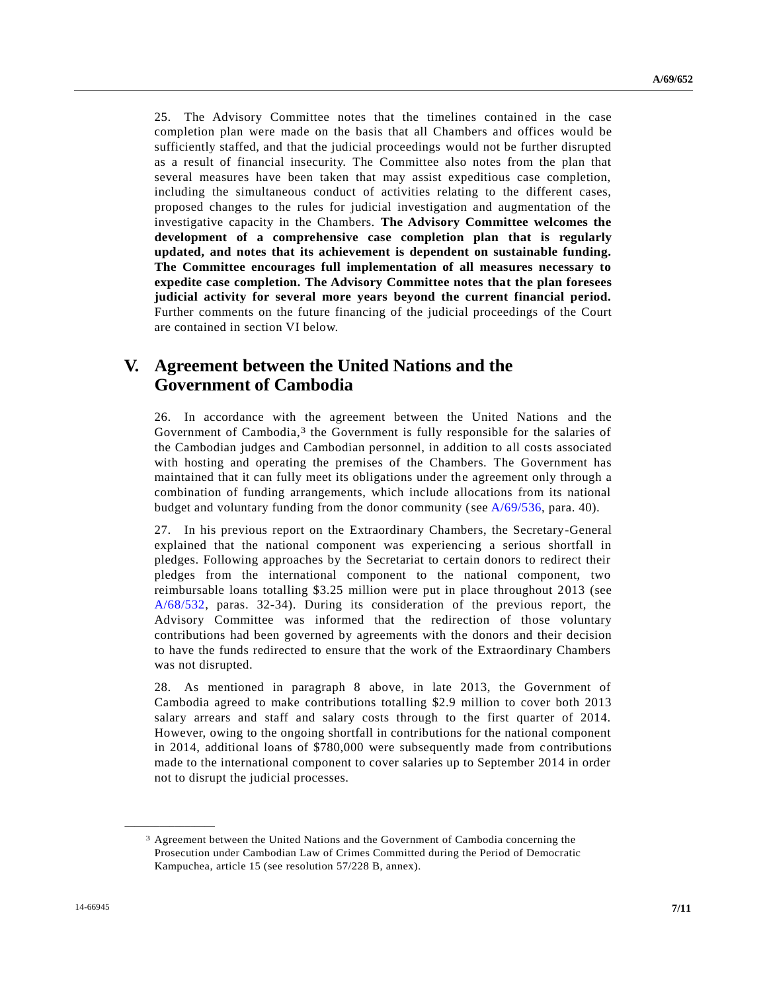25. The Advisory Committee notes that the timelines contained in the case completion plan were made on the basis that all Chambers and offices would be sufficiently staffed, and that the judicial proceedings would not be further disrupted as a result of financial insecurity. The Committee also notes from the plan that several measures have been taken that may assist expeditious case completion, including the simultaneous conduct of activities relating to the different cases, proposed changes to the rules for judicial investigation and augmentation of the investigative capacity in the Chambers. **The Advisory Committee welcomes the development of a comprehensive case completion plan that is regularly updated, and notes that its achievement is dependent on sustainable funding. The Committee encourages full implementation of all measures necessary to expedite case completion. The Advisory Committee notes that the plan foresees judicial activity for several more years beyond the current financial period.**  Further comments on the future financing of the judicial proceedings of the Court are contained in section VI below.

## **V. Agreement between the United Nations and the Government of Cambodia**

26. In accordance with the agreement between the United Nations and the Government of Cambodia,<sup>3</sup> the Government is fully responsible for the salaries of the Cambodian judges and Cambodian personnel, in addition to all costs associated with hosting and operating the premises of the Chambers. The Government has maintained that it can fully meet its obligations under the agreement only through a combination of funding arrangements, which include allocations from its national budget and voluntary funding from the donor community (see [A/69/536,](http://undocs.org/A/69/536) para. 40).

27. In his previous report on the Extraordinary Chambers, the Secretary-General explained that the national component was experiencing a serious shortfall in pledges. Following approaches by the Secretariat to certain donors to redirect their pledges from the international component to the national component, two reimbursable loans totalling \$3.25 million were put in place throughout 2013 (see [A/68/532,](http://undocs.org/A/68/532) paras. 32-34). During its consideration of the previous report, the Advisory Committee was informed that the redirection of those voluntary contributions had been governed by agreements with the donors and their decision to have the funds redirected to ensure that the work of the Extraordinary Chambers was not disrupted.

28. As mentioned in paragraph 8 above, in late 2013, the Government of Cambodia agreed to make contributions totalling \$2.9 million to cover both 2013 salary arrears and staff and salary costs through to the first quarter of 2014. However, owing to the ongoing shortfall in contributions for the national component in 2014, additional loans of \$780,000 were subsequently made from contributions made to the international component to cover salaries up to September 2014 in order not to disrupt the judicial processes.

**\_\_\_\_\_\_\_\_\_\_\_\_\_\_\_\_\_\_**

<sup>3</sup> Agreement between the United Nations and the Government of Cambodia concerning the Prosecution under Cambodian Law of Crimes Committed during the Period of Democratic Kampuchea, article 15 (see resolution 57/228 B, annex).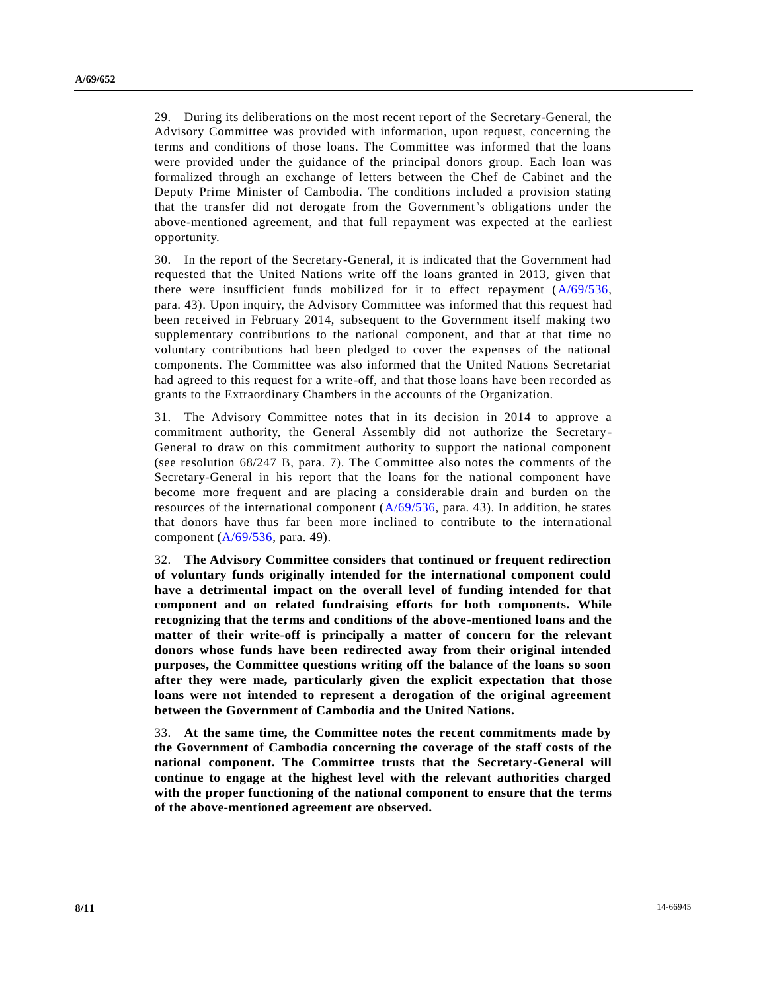29. During its deliberations on the most recent report of the Secretary-General, the Advisory Committee was provided with information, upon request, concerning the terms and conditions of those loans. The Committee was informed that the loans were provided under the guidance of the principal donors group. Each loan was formalized through an exchange of letters between the Chef de Cabinet and the Deputy Prime Minister of Cambodia. The conditions included a provision stating that the transfer did not derogate from the Government's obligations under the above-mentioned agreement, and that full repayment was expected at the earliest opportunity.

30. In the report of the Secretary-General, it is indicated that the Government had requested that the United Nations write off the loans granted in 2013, given that there were insufficient funds mobilized for it to effect repayment [\(A/69/536,](http://undocs.org/A/69/536) para. 43). Upon inquiry, the Advisory Committee was informed that this request had been received in February 2014, subsequent to the Government itself making two supplementary contributions to the national component, and that at that time no voluntary contributions had been pledged to cover the expenses of the national components. The Committee was also informed that the United Nations Secretariat had agreed to this request for a write-off, and that those loans have been recorded as grants to the Extraordinary Chambers in the accounts of the Organization.

31. The Advisory Committee notes that in its decision in 2014 to approve a commitment authority, the General Assembly did not authorize the Secretary-General to draw on this commitment authority to support the national component (see resolution 68/247 B, para. 7). The Committee also notes the comments of the Secretary-General in his report that the loans for the national component have become more frequent and are placing a considerable drain and burden on the resources of the international component  $(A/69/536, \text{ para. } 43)$  $(A/69/536, \text{ para. } 43)$ . In addition, he states that donors have thus far been more inclined to contribute to the international component [\(A/69/536,](http://undocs.org/A/69/536) para. 49).

32. **The Advisory Committee considers that continued or frequent redirection of voluntary funds originally intended for the international component could have a detrimental impact on the overall level of funding intended for that component and on related fundraising efforts for both components. While recognizing that the terms and conditions of the above-mentioned loans and the matter of their write-off is principally a matter of concern for the relevant donors whose funds have been redirected away from their original intended purposes, the Committee questions writing off the balance of the loans so soon after they were made, particularly given the explicit expectation that those loans were not intended to represent a derogation of the original agreement between the Government of Cambodia and the United Nations.**

33. **At the same time, the Committee notes the recent commitments made by the Government of Cambodia concerning the coverage of the staff costs of the national component. The Committee trusts that the Secretary-General will continue to engage at the highest level with the relevant authorities charged with the proper functioning of the national component to ensure that the terms of the above-mentioned agreement are observed.**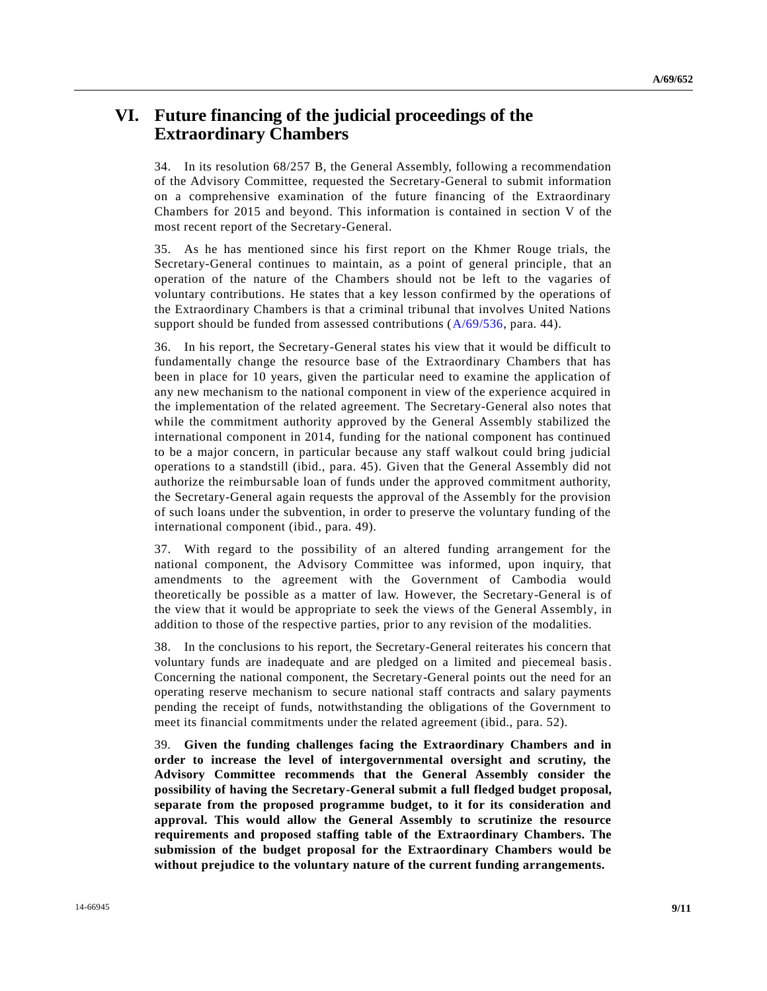## **VI. Future financing of the judicial proceedings of the Extraordinary Chambers**

34. In its resolution 68/257 B, the General Assembly, following a recommendation of the Advisory Committee, requested the Secretary-General to submit information on a comprehensive examination of the future financing of the Extraordinary Chambers for 2015 and beyond. This information is contained in section V of the most recent report of the Secretary-General.

35. As he has mentioned since his first report on the Khmer Rouge trials, the Secretary-General continues to maintain, as a point of general principle, that an operation of the nature of the Chambers should not be left to the vagaries of voluntary contributions. He states that a key lesson confirmed by the operations of the Extraordinary Chambers is that a criminal tribunal that involves United Nations support should be funded from assessed contributions ( $A/69/536$ , para. 44).

36. In his report, the Secretary-General states his view that it would be difficult to fundamentally change the resource base of the Extraordinary Chambers that has been in place for 10 years, given the particular need to examine the application of any new mechanism to the national component in view of the experience acquired in the implementation of the related agreement. The Secretary-General also notes that while the commitment authority approved by the General Assembly stabilized the international component in 2014, funding for the national component has continued to be a major concern, in particular because any staff walkout could bring judicial operations to a standstill (ibid., para. 45). Given that the General Assembly did not authorize the reimbursable loan of funds under the approved commitment authority, the Secretary-General again requests the approval of the Assembly for the provision of such loans under the subvention, in order to preserve the voluntary funding of the international component (ibid., para. 49).

37. With regard to the possibility of an altered funding arrangement for the national component, the Advisory Committee was informed, upon inquiry, that amendments to the agreement with the Government of Cambodia would theoretically be possible as a matter of law. However, the Secretary-General is of the view that it would be appropriate to seek the views of the General Assembly, in addition to those of the respective parties, prior to any revision of the modalities.

38. In the conclusions to his report, the Secretary-General reiterates his concern that voluntary funds are inadequate and are pledged on a limited and piecemeal basis. Concerning the national component, the Secretary-General points out the need for an operating reserve mechanism to secure national staff contracts and salary payments pending the receipt of funds, notwithstanding the obligations of the Government to meet its financial commitments under the related agreement (ibid., para. 52).

39. **Given the funding challenges facing the Extraordinary Chambers and in order to increase the level of intergovernmental oversight and scrutiny, the Advisory Committee recommends that the General Assembly consider the possibility of having the Secretary-General submit a full fledged budget proposal, separate from the proposed programme budget, to it for its consideration and approval. This would allow the General Assembly to scrutinize the resource requirements and proposed staffing table of the Extraordinary Chambers. The submission of the budget proposal for the Extraordinary Chambers would be without prejudice to the voluntary nature of the current funding arrangements.**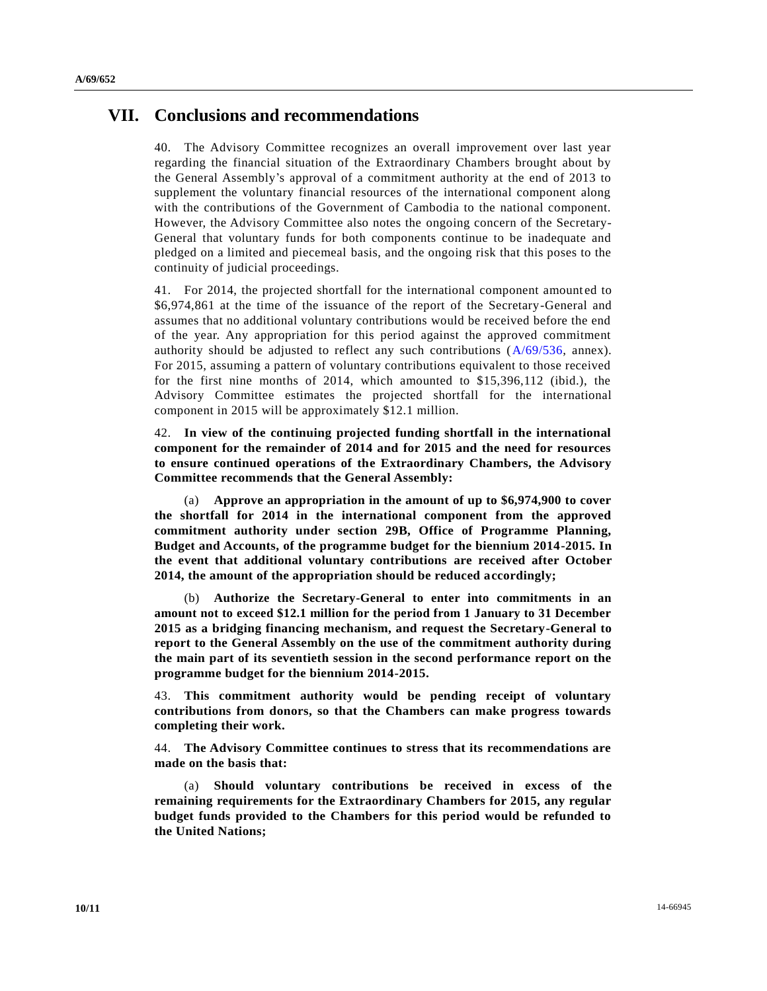### **VII. Conclusions and recommendations**

40. The Advisory Committee recognizes an overall improvement over last year regarding the financial situation of the Extraordinary Chambers brought about by the General Assembly's approval of a commitment authority at the end of 2013 to supplement the voluntary financial resources of the international component along with the contributions of the Government of Cambodia to the national component. However, the Advisory Committee also notes the ongoing concern of the Secretary-General that voluntary funds for both components continue to be inadequate and pledged on a limited and piecemeal basis, and the ongoing risk that this poses to the continuity of judicial proceedings.

41. For 2014, the projected shortfall for the international component amount ed to \$6,974,861 at the time of the issuance of the report of the Secretary-General and assumes that no additional voluntary contributions would be received before the end of the year. Any appropriation for this period against the approved commitment authority should be adjusted to reflect any such contributions [\(A/69/536,](http://undocs.org/A/69/536) annex). For 2015, assuming a pattern of voluntary contributions equivalent to those received for the first nine months of 2014, which amounted to \$15,396,112 (ibid.), the Advisory Committee estimates the projected shortfall for the international component in 2015 will be approximately \$12.1 million.

42. **In view of the continuing projected funding shortfall in the international component for the remainder of 2014 and for 2015 and the need for resources to ensure continued operations of the Extraordinary Chambers, the Advisory Committee recommends that the General Assembly:**

(a) **Approve an appropriation in the amount of up to \$6,974,900 to cover the shortfall for 2014 in the international component from the approved commitment authority under section 29B, Office of Programme Planning, Budget and Accounts, of the programme budget for the biennium 2014-2015. In the event that additional voluntary contributions are received after October 2014, the amount of the appropriation should be reduced accordingly;**

(b) **Authorize the Secretary-General to enter into commitments in an amount not to exceed \$12.1 million for the period from 1 January to 31 December 2015 as a bridging financing mechanism, and request the Secretary-General to report to the General Assembly on the use of the commitment authority during the main part of its seventieth session in the second performance report on the programme budget for the biennium 2014-2015.**

43. **This commitment authority would be pending receipt of voluntary contributions from donors, so that the Chambers can make progress towards completing their work.**

44. **The Advisory Committee continues to stress that its recommendations are made on the basis that:**

(a) **Should voluntary contributions be received in excess of the remaining requirements for the Extraordinary Chambers for 2015, any regular budget funds provided to the Chambers for this period would be refunded to the United Nations;**